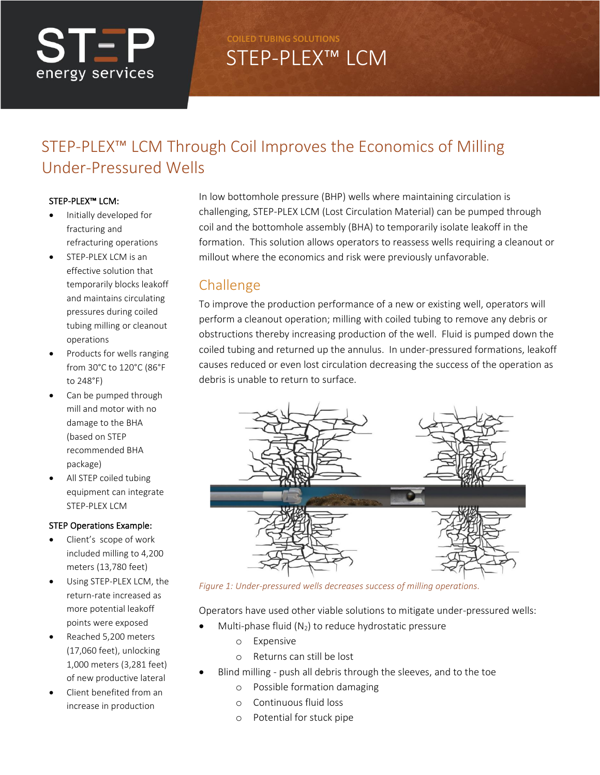# STEP energy services

**COILED TUBING SOLUTIONS**

# STEP-PLEX™ LCM

## STEP-PLEX™ LCM Through Coil Improves the Economics of Milling Under-Pressured Wells

#### STEP-PLEX™ LCM:

- Initially developed for fracturing and refracturing operations
- STEP-PLEX LCM is an effective solution that temporarily blocks leakoff and maintains circulating pressures during coiled tubing milling or cleanout operations
- Products for wells ranging from 30°C to 120°C (86°F to 248°F)
- Can be pumped through mill and motor with no damage to the BHA (based on STEP recommended BHA package)
- All STEP coiled tubing equipment can integrate STEP-PLEX LCM

#### STEP Operations Example:

- Client's scope of work included milling to 4,200 meters (13,780 feet)
- Using STEP-PLEX LCM, the return-rate increased as more potential leakoff points were exposed
- Reached 5,200 meters (17,060 feet), unlocking 1,000 meters (3,281 feet) of new productive lateral
- Client benefited from an increase in production

In low bottomhole pressure (BHP) wells where maintaining circulation is challenging, STEP-PLEX LCM (Lost Circulation Material) can be pumped through coil and the bottomhole assembly (BHA) to temporarily isolate leakoff in the formation. This solution allows operators to reassess wells requiring a cleanout or millout where the economics and risk were previously unfavorable.

### Challenge

To improve the production performance of a new or existing well, operators will perform a cleanout operation; milling with coiled tubing to remove any debris or obstructions thereby increasing production of the well. Fluid is pumped down the coiled tubing and returned up the annulus. In under-pressured formations, leakoff causes reduced or even lost circulation decreasing the success of the operation as debris is unable to return to surface.



*Figure 1: Under-pressured wells decreases success of milling operations.*

Operators have used other viable solutions to mitigate under-pressured wells:

- Multi-phase fluid ( $N_2$ ) to reduce hydrostatic pressure
	- o Expensive
		- o Returns can still be lost
- Blind milling push all debris through the sleeves, and to the toe
	- o Possible formation damaging
	- o Continuous fluid loss
	- o Potential for stuck pipe